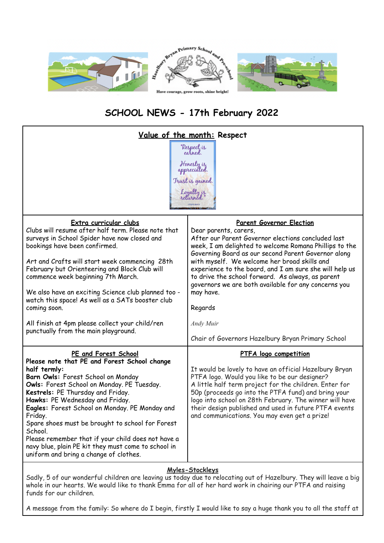

## **SCHOOL NEWS - 17th February 2022**

| <u>Value of the month:</u> Respect<br>"Respect <sub>is</sub><br>earned.<br>Honesty is<br>appreciated.<br>Trust is gained.<br>Loyalty is                                                                                                                                                                                                                                                                                                                                                                                             |                                                                                                                                                                                                                                                                                                                                                                                                                                                                                              |
|-------------------------------------------------------------------------------------------------------------------------------------------------------------------------------------------------------------------------------------------------------------------------------------------------------------------------------------------------------------------------------------------------------------------------------------------------------------------------------------------------------------------------------------|----------------------------------------------------------------------------------------------------------------------------------------------------------------------------------------------------------------------------------------------------------------------------------------------------------------------------------------------------------------------------------------------------------------------------------------------------------------------------------------------|
| Extra curricular clubs<br>Clubs will resume after half term. Please note that<br>surveys in School Spider have now closed and<br>bookings have been confirmed.<br>Art and Crafts will start week commencing 28th<br>February but Orienteering and Block Club will<br>commence week beginning 7th March.<br>We also have an exciting Science club planned too -<br>watch this space! As well as a SATs booster club<br>coming soon.<br>All finish at 4pm please collect your child/ren<br>punctually from the main playground.       | <b>Parent Governor Election</b><br>Dear parents, carers,<br>After our Parent Governor elections concluded last<br>week, I am delighted to welcome Romana Phillips to the<br>Governing Board as our second Parent Governor along<br>with myself. We welcome her broad skills and<br>experience to the board, and I am sure she will help us<br>to drive the school forward. As always, as parent<br>governors we are both available for any concerns you<br>may have.<br>Regards<br>Andy Muir |
| PE and Forest School<br>Please note that PE and Forest School change<br>half termly:<br>Barn Owls: Forest School on Monday<br>Owls: Forest School on Monday. PE Tuesday.<br>Kestrels: PE Thursday and Friday.<br>Hawks: PE Wednesday and Friday.<br>Eagles: Forest School on Monday. PE Monday and<br>Friday.<br>Spare shoes must be brought to school for Forest<br>School.<br>Please remember that if your child does not have a<br>navy blue, plain PE kit they must come to school in<br>uniform and bring a change of clothes. | Chair of Governors Hazelbury Bryan Primary School<br><b>PTFA</b> logo competition<br>It would be lovely to have an official Hazelbury Bryan<br>PTFA logo. Would you like to be our designer?<br>A little half term project for the children. Enter for<br>50p (proceeds go into the PTFA fund) and bring your<br>logo into school on 28th February. The winner will have<br>their design published and used in future PTFA events<br>and communications. You may even get a prize!           |

## **Myles-Stockleys**

Sadly, 5 of our wonderful children are leaving us today due to relocating out of Hazelbury. They will leave a big whole in our hearts. We would like to thank Emma for all of her hard work in chairing our PTFA and raising funds for our children.

A message from the family: So where do I begin, firstly I would like to say a huge thank you to all the staff at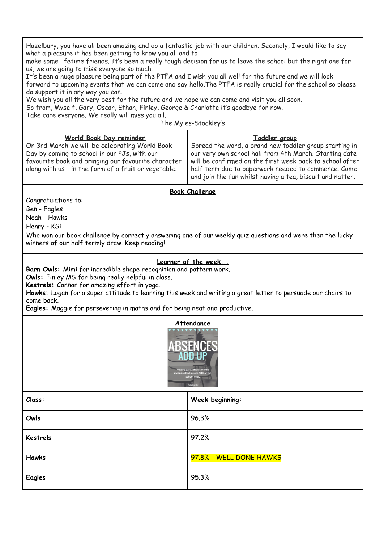Hazelbury, you have all been amazing and do a fantastic job with our children. Secondly, I would like to say what a pleasure it has been getting to know you all and to make some lifetime friends. It's been a really tough decision for us to leave the school but the right one for us, we are going to miss everyone so much. It's been a huge pleasure being part of the PTFA and I wish you all well for the future and we will look forward to upcoming events that we can come and say hello.The PTFA is really crucial for the school so please do support it in any way you can. We wish you all the very best for the future and we hope we can come and visit you all soon. So from, Myself, Gary, Oscar, Ethan, Finley, George & Charlotte it's goodbye for now. Take care everyone. We really will miss you all. The Myles-Stockley's **World Book Day reminder** On 3rd March we will be celebrating World Book Day by coming to school in our PJs, with our favourite book and bringing our favourite character along with us - in the form of a fruit or vegetable. **Toddler group** Spread the word, a brand new toddler group starting in our very own school hall from 4th March. Starting date will be confirmed on the first week back to school after half term due to paperwork needed to commence. Come and join the fun whilst having a tea, biscuit and natter. **Book Challenge** Congratulations to: Ben - Eagles Noah - Hawks Henry - KS1 Who won our book challenge by correctly answering one of our weekly quiz questions and were then the lucky winners of our half termly draw. Keep reading! **Learner of the week... Barn Owls:** Mimi for incredible shape recognition and pattern work. **Owls:** Finley MS for being really helpful in class. **Kestrels:** Connor for amazing effort in yoga. **Hawks:** Logan for a super attitude to learning this week and writing a great letter to persuade our chairs to come back. **Eagles:** Maggie for persevering in maths and for being neat and productive. **Attendance Class: Week beginning: Owls** 96.3% **Kestrels** 97.2% **Hawks** 97.8% - WELL DONE HAWKS **Eagles** 95.3%